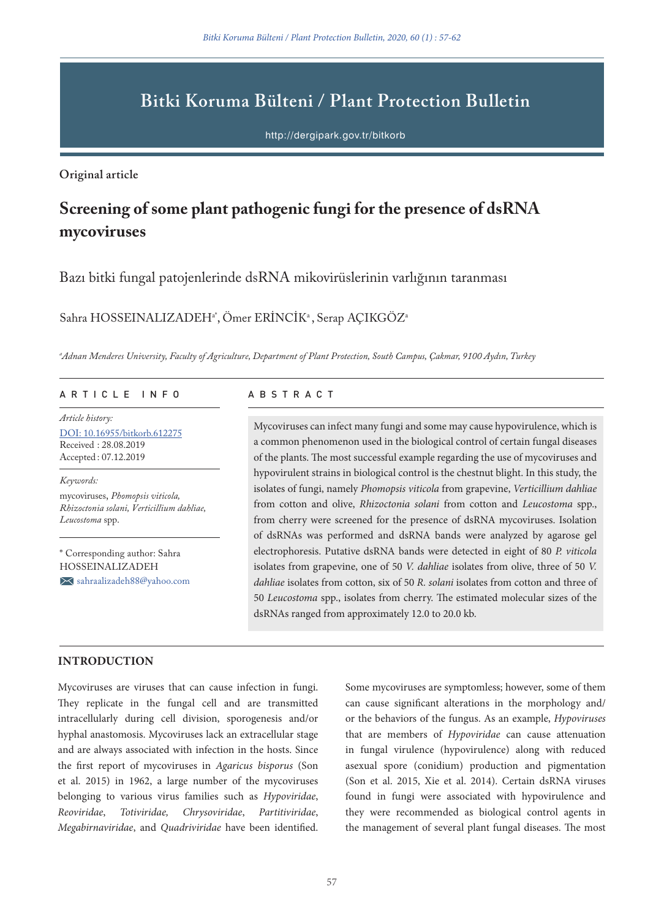# **Bitki Koruma Bülteni / Plant Protection Bulletin**

http://dergipark.gov.tr/bitkorb

**Original article**

# **Screening of some plant pathogenic fungi for the presence of dsRNA mycoviruses**

Bazı bitki fungal patojenlerinde dsRNA mikovirüslerinin varlığının taranması

Sahra HOSSEINALIZADEH<sup>a\*</sup>, Ömer ERİNCİK<sup>a</sup>, Serap AÇIKGÖZ<sup>a</sup>

*a Adnan Menderes University, Faculty of Agriculture, Department of Plant Protection, South Campus, Çakmar, 9100 Aydın, Turkey*

## ARTICLE INFO ABSTRACT

*Article history:* DOI: 10.16955/bitkorb.612275 Received : 28.08.2019 Accepted : 07.12.2019

#### *Keywords:*

mycoviruses, *Phomopsis viticola, Rhizoctonia solani, Verticillium dahliae, Leucostoma* spp.

\* Corresponding author: Sahra HOSSEINALIZADEH sahraalizadeh88@yahoo.com

Mycoviruses can infect many fungi and some may cause hypovirulence, which is a common phenomenon used in the biological control of certain fungal diseases of the plants. The most successful example regarding the use of mycoviruses and hypovirulent strains in biological control is the chestnut blight. In this study, the isolates of fungi, namely *Phomopsis viticola* from grapevine, *Verticillium dahliae*  from cotton and olive, *Rhizoctonia solani* from cotton and *Leucostoma* spp., from cherry were screened for the presence of dsRNA mycoviruses. Isolation of dsRNAs was performed and dsRNA bands were analyzed by agarose gel electrophoresis. Putative dsRNA bands were detected in eight of 80 *P. viticola*  isolates from grapevine, one of 50 *V. dahliae* isolates from olive, three of 50 *V. dahliae* isolates from cotton, six of 50 *R. solani* isolates from cotton and three of 50 *Leucostoma* spp., isolates from cherry. The estimated molecular sizes of the dsRNAs ranged from approximately 12.0 to 20.0 kb.

#### **INTRODUCTION**

Mycoviruses are viruses that can cause infection in fungi. They replicate in the fungal cell and are transmitted intracellularly during cell division, sporogenesis and/or hyphal anastomosis. Mycoviruses lack an extracellular stage and are always associated with infection in the hosts. Since the first report of mycoviruses in *Agaricus bisporus* (Son et al. 2015) in 1962, a large number of the mycoviruses belonging to various virus families such as *Hypoviridae*, *Reoviridae*, *Totiviridae, Chrysoviridae*, *Partitiviridae*, *Megabirnaviridae*, and *Quadriviridae* have been identified. Some mycoviruses are symptomless; however, some of them can cause significant alterations in the morphology and/ or the behaviors of the fungus. As an example, *Hypoviruses* that are members of *Hypoviridae* can cause attenuation in fungal virulence (hypovirulence) along with reduced asexual spore (conidium) production and pigmentation (Son et al. 2015, Xie et al. 2014). Certain dsRNA viruses found in fungi were associated with hypovirulence and they were recommended as biological control agents in the management of several plant fungal diseases. The most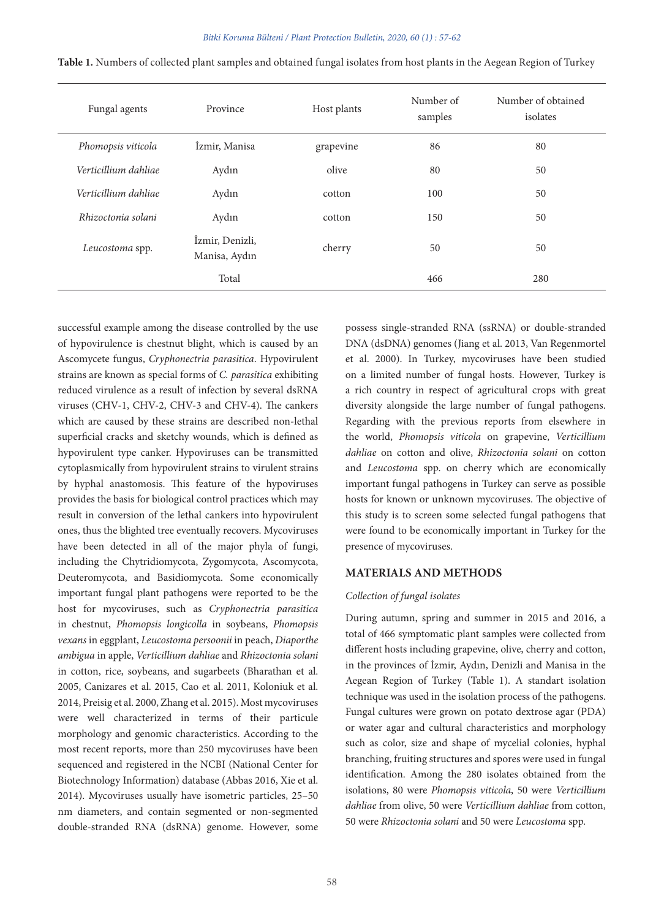| Fungal agents        | Province                         | Host plants | Number of<br>samples | Number of obtained<br>isolates |
|----------------------|----------------------------------|-------------|----------------------|--------------------------------|
| Phomopsis viticola   | İzmir, Manisa                    | grapevine   | 86                   | 80                             |
| Verticillium dahliae | Aydın                            | olive       | 80                   | 50                             |
| Verticillium dahliae | Aydın                            | cotton      | 100                  | 50                             |
| Rhizoctonia solani   | Aydın                            | cotton      | 150                  | 50                             |
| Leucostoma spp.      | İzmir, Denizli,<br>Manisa, Aydın | cherry      | 50                   | 50                             |
|                      | Total                            |             | 466                  | 280                            |

**Table 1.** Numbers of collected plant samples and obtained fungal isolates from host plants in the Aegean Region of Turkey

successful example among the disease controlled by the use of hypovirulence is chestnut blight, which is caused by an Ascomycete fungus, *Cryphonectria parasitica*. Hypovirulent strains are known as special forms of *C. parasitica* exhibiting reduced virulence as a result of infection by several dsRNA viruses (CHV-1, CHV-2, CHV-3 and CHV-4). The cankers which are caused by these strains are described non-lethal superficial cracks and sketchy wounds, which is defined as hypovirulent type canker. Hypoviruses can be transmitted cytoplasmically from hypovirulent strains to virulent strains by hyphal anastomosis. This feature of the hypoviruses provides the basis for biological control practices which may result in conversion of the lethal cankers into hypovirulent ones, thus the blighted tree eventually recovers. Mycoviruses have been detected in all of the major phyla of fungi, including the Chytridiomycota, Zygomycota, Ascomycota, Deuteromycota, and Basidiomycota. Some economically important fungal plant pathogens were reported to be the host for mycoviruses, such as *Cryphonectria parasitica* in chestnut, *Phomopsis longicolla* in soybeans, *Phomopsis vexans* in eggplant, *Leucostoma persoonii* in peach, *Diaporthe ambigua* in apple, *Verticillium dahliae* and *Rhizoctonia solani* in cotton, rice, soybeans, and sugarbeets (Bharathan et al. 2005, Canizares et al. 2015, Cao et al. 2011, Koloniuk et al. 2014, Preisig et al. 2000, Zhang et al. 2015). Most mycoviruses were well characterized in terms of their particule morphology and genomic characteristics. According to the most recent reports, more than 250 mycoviruses have been sequenced and registered in the NCBI (National Center for Biotechnology Information) database (Abbas 2016, Xie et al. 2014). Mycoviruses usually have isometric particles, 25–50 nm diameters, and contain segmented or non-segmented double-stranded RNA (dsRNA) genome. However, some

possess single-stranded RNA (ssRNA) or double-stranded DNA (dsDNA) genomes (Jiang et al. 2013, Van Regenmortel et al. 2000). In Turkey, mycoviruses have been studied on a limited number of fungal hosts. However, Turkey is a rich country in respect of agricultural crops with great diversity alongside the large number of fungal pathogens. Regarding with the previous reports from elsewhere in the world, *Phomopsis viticola* on grapevine, *Verticillium dahliae* on cotton and olive, *Rhizoctonia solani* on cotton and *Leucostoma* spp. on cherry which are economically important fungal pathogens in Turkey can serve as possible hosts for known or unknown mycoviruses. The objective of this study is to screen some selected fungal pathogens that were found to be economically important in Turkey for the presence of mycoviruses.

#### **MATERIALS AND METHODS**

# *Collection of fungal isolates*

During autumn, spring and summer in 2015 and 2016, a total of 466 symptomatic plant samples were collected from different hosts including grapevine, olive, cherry and cotton, in the provinces of İzmir, Aydın, Denizli and Manisa in the Aegean Region of Turkey (Table 1). A standart isolation technique was used in the isolation process of the pathogens. Fungal cultures were grown on potato dextrose agar (PDA) or water agar and cultural characteristics and morphology such as color, size and shape of mycelial colonies, hyphal branching, fruiting structures and spores were used in fungal identification. Among the 280 isolates obtained from the isolations, 80 were *Phomopsis viticola*, 50 were *Verticillium dahliae* from olive, 50 were *Verticillium dahliae* from cotton, 50 were *Rhizoctonia solani* and 50 were *Leucostoma* spp.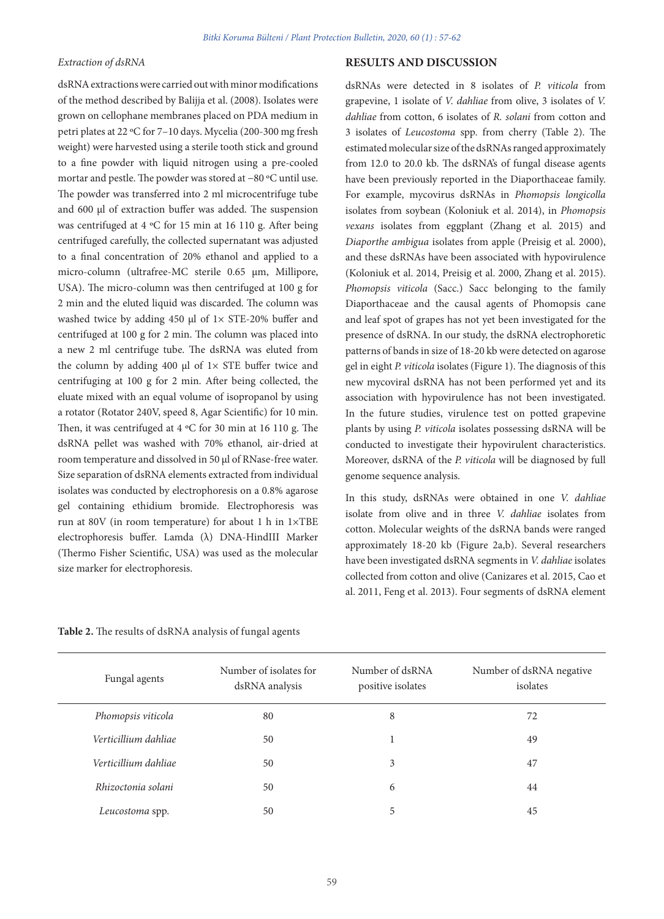### *Extraction of dsRNA*

dsRNA extractions were carried out with minor modifications of the method described by Balijja et al. (2008). Isolates were grown on cellophane membranes placed on PDA medium in petri plates at 22 ºC for 7–10 days. Mycelia (200-300 mg fresh weight) were harvested using a sterile tooth stick and ground to a fine powder with liquid nitrogen using a pre-cooled mortar and pestle. The powder was stored at −80 ºC until use. The powder was transferred into 2 ml microcentrifuge tube and 600 μl of extraction buffer was added. The suspension was centrifuged at 4 ºC for 15 min at 16 110 g. After being centrifuged carefully, the collected supernatant was adjusted to a final concentration of 20% ethanol and applied to a micro-column (ultrafree-MC sterile 0.65 µm, Millipore, USA). The micro-column was then centrifuged at 100 g for 2 min and the eluted liquid was discarded. The column was washed twice by adding 450 μl of 1× STE-20% buffer and centrifuged at 100 g for 2 min. The column was placed into a new 2 ml centrifuge tube. The dsRNA was eluted from the column by adding 400  $\mu$ l of 1× STE buffer twice and centrifuging at 100 g for 2 min. After being collected, the eluate mixed with an equal volume of isopropanol by using a rotator (Rotator 240V, speed 8, Agar Scientific) for 10 min. Then, it was centrifuged at 4 ºC for 30 min at 16 110 g. The dsRNA pellet was washed with 70% ethanol, air-dried at room temperature and dissolved in 50 μl of RNase-free water. Size separation of dsRNA elements extracted from individual isolates was conducted by electrophoresis on a 0.8% agarose gel containing ethidium bromide. Electrophoresis was run at 80V (in room temperature) for about 1 h in 1×TBE electrophoresis buffer. Lamda (λ) DNA-HindIII Marker (Thermo Fisher Scientific, USA) was used as the molecular size marker for electrophoresis.

#### **RESULTS AND DISCUSSION**

dsRNAs were detected in 8 isolates of *P. viticola* from grapevine, 1 isolate of *V. dahliae* from olive, 3 isolates of *V. dahliae* from cotton, 6 isolates of *R. solani* from cotton and 3 isolates of *Leucostoma* spp. from cherry (Table 2). The estimated molecular size of the dsRNAs ranged approximately from 12.0 to 20.0 kb. The dsRNA's of fungal disease agents have been previously reported in the Diaporthaceae family. For example, mycovirus dsRNAs in *Phomopsis longicolla* isolates from soybean (Koloniuk et al. 2014), in *Phomopsis vexans* isolates from eggplant (Zhang et al. 2015) and *Diaporthe ambigua* isolates from apple (Preisig et al. 2000), and these dsRNAs have been associated with hypovirulence (Koloniuk et al. 2014, Preisig et al. 2000, Zhang et al. 2015). *Phomopsis viticola* (Sacc.) Sacc belonging to the family Diaporthaceae and the causal agents of Phomopsis cane and leaf spot of grapes has not yet been investigated for the presence of dsRNA. In our study, the dsRNA electrophoretic patterns of bands in size of 18-20 kb were detected on agarose gel in eight *P. viticola* isolates (Figure 1). The diagnosis of this new mycoviral dsRNA has not been performed yet and its association with hypovirulence has not been investigated. In the future studies, virulence test on potted grapevine plants by using *P. viticola* isolates possessing dsRNA will be conducted to investigate their hypovirulent characteristics. Moreover, dsRNA of the *P. viticola* will be diagnosed by full genome sequence analysis.

In this study, dsRNAs were obtained in one *V. dahliae* isolate from olive and in three *V. dahliae* isolates from cotton. Molecular weights of the dsRNA bands were ranged approximately 18-20 kb (Figure 2a,b). Several researchers have been investigated dsRNA segments in *V. dahliae* isolates collected from cotton and olive (Canizares et al. 2015, Cao et al. 2011, Feng et al. 2013). Four segments of dsRNA element

| Fungal agents        | Number of isolates for<br>dsRNA analysis | Number of dsRNA<br>positive isolates | Number of dsRNA negative<br>isolates |
|----------------------|------------------------------------------|--------------------------------------|--------------------------------------|
| Phomopsis viticola   | 80                                       | 8                                    | 72                                   |
| Verticillium dahliae | 50                                       |                                      | 49                                   |
| Verticillium dahliae | 50                                       | 3                                    | 47                                   |
| Rhizoctonia solani   | 50                                       | 6                                    | 44                                   |
| Leucostoma spp.      | 50                                       | 5                                    | 45                                   |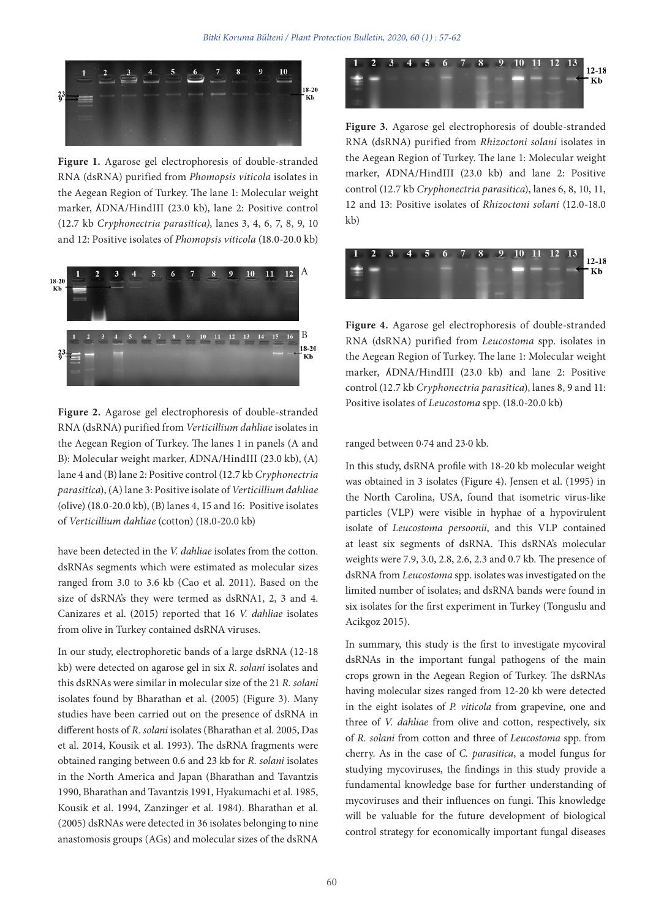

**Figure 1.** Agarose gel electrophoresis of double-stranded RNA (dsRNA) purified from *Phomopsis viticola* isolates in the Aegean Region of Turkey. The lane 1: Molecular weight marker, ʎDNA/HindIII (23.0 kb), lane 2: Positive control (12.7 kb *Cryphonectria parasitica)*, lanes 3, 4, 6, 7, 8, 9, 10 and 12: Positive isolates of *Phomopsis viticola* (18.0-20.0 kb)



**Figure 2.** Agarose gel electrophoresis of double-stranded RNA (dsRNA) purified from *Verticillium dahliae* isolates in the Aegean Region of Turkey. The lanes 1 in panels (A and B): Molecular weight marker, ʎDNA/HindIII (23.0 kb), (A) lane 4 and (B) lane 2: Positive control (12.7 kb *Cryphonectria parasitica*), (A) lane 3: Positive isolate of *Verticillium dahliae* (olive) (18.0-20.0 kb), (B) lanes 4, 15 and 16: Positive isolates of *Verticillium dahliae* (cotton) (18.0-20.0 kb)

have been detected in the *V. dahliae* isolates from the cotton. dsRNAs segments which were estimated as molecular sizes ranged from 3.0 to 3.6 kb (Cao et al. 2011). Based on the size of dsRNA's they were termed as dsRNA1, 2, 3 and 4. Canizares et al. (2015) reported that 16 *V. dahliae* isolates from olive in Turkey contained dsRNA viruses.

In our study, electrophoretic bands of a large dsRNA (12-18 kb) were detected on agarose gel in six *R. solani* isolates and this dsRNAs were similar in molecular size of the 21 *R. solani* isolates found by Bharathan et al. (2005) (Figure 3). Many studies have been carried out on the presence of dsRNA in different hosts of *R. solani* isolates (Bharathan et al. 2005, Das et al. 2014, Kousik et al. 1993). The dsRNA fragments were obtained ranging between 0.6 and 23 kb for *R. solani* isolates in the North America and Japan (Bharathan and Tavantzis 1990, Bharathan and Tavantzis 1991, Hyakumachi et al. 1985, Kousik et al. 1994, Zanzinger et al. 1984). Bharathan et al. (2005) dsRNAs were detected in 36 isolates belonging to nine anastomosis groups (AGs) and molecular sizes of the dsRNA



**Figure 3.** Agarose gel electrophoresis of double-stranded RNA (dsRNA) purified from *Rhizoctoni solani* isolates in the Aegean Region of Turkey. The lane 1: Molecular weight marker, ʎDNA/HindIII (23.0 kb) and lane 2: Positive control (12.7 kb *Cryphonectria parasitica*), lanes 6, 8, 10, 11, 12 and 13: Positive isolates of *Rhizoctoni solani* (12.0-18.0 kb)



**Figure 4.** Agarose gel electrophoresis of double-stranded RNA (dsRNA) purified from *Leucostoma* spp. isolates in the Aegean Region of Turkey. The lane 1: Molecular weight marker, ʎDNA/HindIII (23.0 kb) and lane 2: Positive control (12.7 kb *Cryphonectria parasitica*), lanes 8, 9 and 11: Positive isolates of *Leucostoma* spp. (18.0-20.0 kb)

#### ranged between 0·74 and 23·0 kb.

In this study, dsRNA profile with 18-20 kb molecular weight was obtained in 3 isolates (Figure 4). Jensen et al. (1995) in the North Carolina, USA, found that isometric virus-like particles (VLP) were visible in hyphae of a hypovirulent isolate of *Leucostoma persoonii*, and this VLP contained at least six segments of dsRNA. This dsRNA's molecular weights were 7.9, 3.0, 2.8, 2.6, 2.3 and 0.7 kb. The presence of dsRNA from *Leucostoma* spp. isolates was investigated on the limited number of isolates, and dsRNA bands were found in six isolates for the first experiment in Turkey (Tonguslu and Acikgoz 2015).

In summary, this study is the first to investigate mycoviral dsRNAs in the important fungal pathogens of the main crops grown in the Aegean Region of Turkey. The dsRNAs having molecular sizes ranged from 12-20 kb were detected in the eight isolates of *P. viticola* from grapevine, one and three of *V. dahliae* from olive and cotton, respectively, six of *R. solani* from cotton and three of *Leucostoma* spp. from cherry. As in the case of *C. parasitica*, a model fungus for studying mycoviruses, the findings in this study provide a fundamental knowledge base for further understanding of mycoviruses and their influences on fungi. This knowledge will be valuable for the future development of biological control strategy for economically important fungal diseases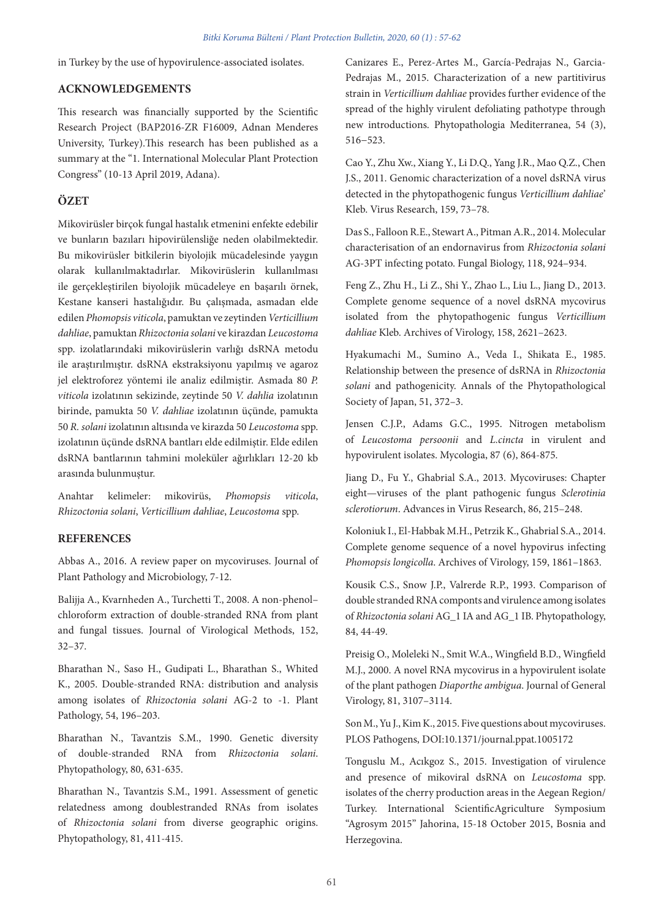in Turkey by the use of hypovirulence-associated isolates.

### **ACKNOWLEDGEMENTS**

This research was financially supported by the Scientific Research Project (BAP2016-ZR F16009, Adnan Menderes University, Turkey).This research has been published as a summary at the "1. International Molecular Plant Protection Congress" (10-13 April 2019, Adana).

## **ÖZET**

Mikovirüsler birçok fungal hastalık etmenini enfekte edebilir ve bunların bazıları hipovirülensliğe neden olabilmektedir. Bu mikovirüsler bitkilerin biyolojik mücadelesinde yaygın olarak kullanılmaktadırlar. Mikovirüslerin kullanılması ile gerçekleştirilen biyolojik mücadeleye en başarılı örnek, Kestane kanseri hastalığıdır. Bu çalışmada, asmadan elde edilen *Phomopsis viticola*, pamuktan ve zeytinden *Verticillium dahliae*, pamuktan *Rhizoctonia solani* ve kirazdan *Leucostoma* spp. izolatlarındaki mikovirüslerin varlığı dsRNA metodu ile araştırılmıştır. dsRNA ekstraksiyonu yapılmış ve agaroz jel elektroforez yöntemi ile analiz edilmiştir. Asmada 80 *P. viticola* izolatının sekizinde, zeytinde 50 *V. dahlia* izolatının birinde, pamukta 50 *V. dahliae* izolatının üçünde, pamukta 50 *R. solani* izolatının altısında ve kirazda 50 *Leucostoma* spp. izolatının üçünde dsRNA bantları elde edilmiştir. Elde edilen dsRNA bantlarının tahmini moleküler ağırlıkları 12-20 kb arasında bulunmuştur.

Anahtar kelimeler: mikovirüs, *Phomopsis viticola*, *Rhizoctonia solani*, *Verticillium dahliae*, *Leucostoma* spp.

#### **REFERENCES**

Abbas A., 2016. A review paper on mycoviruses. Journal of Plant Pathology and Microbiology, 7-12.

Balijja A., Kvarnheden A., Turchetti T., 2008. A non-phenol– chloroform extraction of double-stranded RNA from plant and fungal tissues. Journal of Virological Methods, 152, 32–37.

Bharathan N., Saso H., Gudipati L., Bharathan S., Whited K., 2005. Double-stranded RNA: distribution and analysis among isolates of *Rhizoctonia solani* AG-2 to -1. Plant Pathology, 54, 196–203.

Bharathan N., Tavantzis S.M., 1990. Genetic diversity of double-stranded RNA from *Rhizoctonia solani*. Phytopathology, 80, 631-635.

Bharathan N., Tavantzis S.M., 1991. Assessment of genetic relatedness among doublestranded RNAs from isolates of *Rhizoctonia solani* from diverse geographic origins. Phytopathology, 81, 411-415.

Canizares E., Perez-Artes M., García-Pedrajas N., Garcia-Pedrajas M., 2015. Characterization of a new partitivirus strain in *Verticillium dahliae* provides further evidence of the spread of the highly virulent defoliating pathotype through new introductions. Phytopathologia Mediterranea, 54 (3), 516−523.

Cao Y., Zhu Xw., Xiang Y., Li D.Q., Yang J.R., Mao Q.Z., Chen J.S., 2011. Genomic characterization of a novel dsRNA virus detected in the phytopathogenic fungus *Verticillium dahliae*' Kleb. Virus Research, 159, 73–78.

Das S., Falloon R.E., Stewart A., Pitman A.R., 2014. Molecular characterisation of an endornavirus from *Rhizoctonia solani*  AG-3PT infecting potato. Fungal Biology, 118, 924–934.

Feng Z., Zhu H., Li Z., Shi Y., Zhao L., Liu L., Jiang D., 2013. Complete genome sequence of a novel dsRNA mycovirus isolated from the phytopathogenic fungus *Verticillium dahliae* Kleb. Archives of Virology, 158, 2621–2623.

Hyakumachi M., Sumino A., Veda I., Shikata E., 1985. Relationship between the presence of dsRNA in *Rhizoctonia solani* and pathogenicity. Annals of the Phytopathological Society of Japan, 51, 372–3.

Jensen C.J.P., Adams G.C., 1995. Nitrogen metabolism of *Leucostoma persoonii* and *L.cincta* in virulent and hypovirulent isolates. Mycologia, 87 (6), 864-875.

Jiang D., Fu Y., Ghabrial S.A., 2013. Mycoviruses: Chapter eight—viruses of the plant pathogenic fungus *Sclerotinia sclerotiorum*. Advances in Virus Research, 86, 215–248.

Koloniuk I., El-Habbak M.H., Petrzik K., Ghabrial S.A., 2014. Complete genome sequence of a novel hypovirus infecting *Phomopsis longicolla*. Archives of Virology, 159, 1861–1863.

Kousik C.S., Snow J.P., Valrerde R.P., 1993. Comparison of double stranded RNA componts and virulence among isolates of *Rhizoctonia solani* AG\_1 IA and AG\_1 IB. Phytopathology, 84, 44-49.

Preisig O., Moleleki N., Smit W.A., Wingfield B.D., Wingfield M.J., 2000. A novel RNA mycovirus in a hypovirulent isolate of the plant pathogen *Diaporthe ambigua*. Journal of General Virology, 81, 3107–3114.

Son M., Yu J., Kim K., 2015. Five questions about mycoviruses. PLOS Pathogens, DOI:10.1371/journal.ppat.1005172

Tonguslu M., Acıkgoz S., 2015. Investigation of virulence and presence of mikoviral dsRNA on *Leucostoma* spp. isolates of the cherry production areas in the Aegean Region/ Turkey. International ScientificAgriculture Symposium "Agrosym 2015" Jahorina, 15-18 October 2015, Bosnia and Herzegovina.